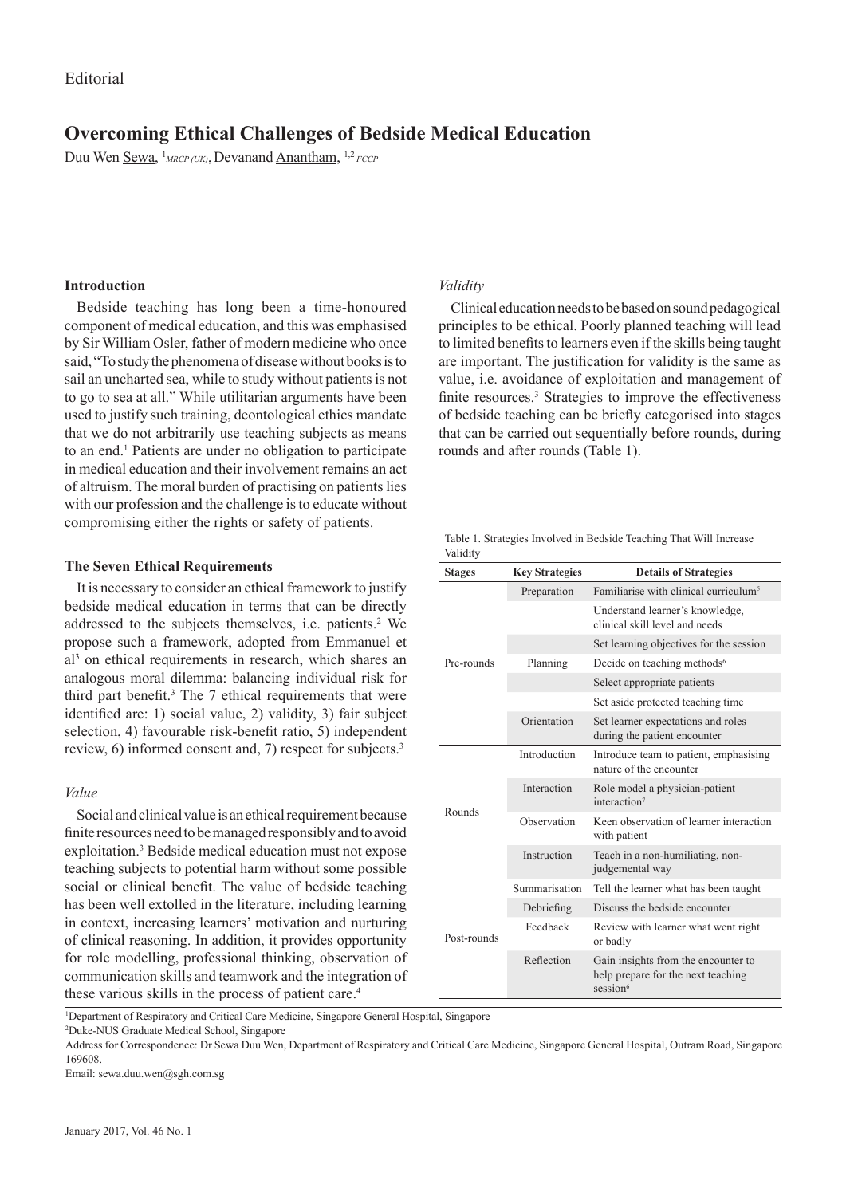# **Overcoming Ethical Challenges of Bedside Medical Education**

Duu Wen <u>Sewa</u>, <sup>1</sup><sub>MRCP (UK)</sub>, Devanand <u>Anantham</u>, <sup>1,2</sup> *FCCP* 

## **Introduction**

Bedside teaching has long been a time-honoured component of medical education, and this was emphasised by Sir William Osler, father of modern medicine who once said, "To study the phenomena of disease without books is to sail an uncharted sea, while to study without patients is not to go to sea at all." While utilitarian arguments have been used to justify such training, deontological ethics mandate that we do not arbitrarily use teaching subjects as means to an end.1 Patients are under no obligation to participate in medical education and their involvement remains an act of altruism. The moral burden of practising on patients lies with our profession and the challenge is to educate without compromising either the rights or safety of patients.

## **The Seven Ethical Requirements**

It is necessary to consider an ethical framework to justify bedside medical education in terms that can be directly addressed to the subjects themselves, i.e. patients.<sup>2</sup> We propose such a framework, adopted from Emmanuel et al3 on ethical requirements in research, which shares an analogous moral dilemma: balancing individual risk for third part benefit.<sup>3</sup> The 7 ethical requirements that were identified are: 1) social value, 2) validity, 3) fair subject selection, 4) favourable risk-benefit ratio, 5) independent review, 6) informed consent and, 7) respect for subjects.<sup>3</sup>

#### *Value*

Social and clinical value is an ethical requirement because finite resources need to be managed responsibly and to avoid exploitation.<sup>3</sup> Bedside medical education must not expose teaching subjects to potential harm without some possible social or clinical benefit. The value of bedside teaching has been well extolled in the literature, including learning in context, increasing learners' motivation and nurturing of clinical reasoning. In addition, it provides opportunity for role modelling, professional thinking, observation of communication skills and teamwork and the integration of these various skills in the process of patient care.<sup>4</sup>

## *Validity*

Clinical education needs to be based on sound pedagogical principles to be ethical. Poorly planned teaching will lead to limited benefits to learners even if the skills being taught are important. The justification for validity is the same as value, i.e. avoidance of exploitation and management of finite resources.<sup>3</sup> Strategies to improve the effectiveness of bedside teaching can be briefly categorised into stages that can be carried out sequentially before rounds, during rounds and after rounds (Table 1).

Table 1. Strategies Involved in Bedside Teaching That Will Increase Validity

| <b>Stages</b> | <b>Key Strategies</b> | <b>Details of Strategies</b>                                                                      |
|---------------|-----------------------|---------------------------------------------------------------------------------------------------|
| Pre-rounds    | Preparation           | Familiarise with clinical curriculum <sup>5</sup>                                                 |
|               |                       | Understand learner's knowledge,<br>clinical skill level and needs                                 |
|               |                       | Set learning objectives for the session                                                           |
|               | Planning              | Decide on teaching methods <sup>6</sup>                                                           |
|               |                       | Select appropriate patients                                                                       |
|               |                       | Set aside protected teaching time                                                                 |
|               | Orientation           | Set learner expectations and roles<br>during the patient encounter                                |
| Rounds        | Introduction          | Introduce team to patient, emphasising<br>nature of the encounter                                 |
|               | Interaction           | Role model a physician-patient<br>interaction <sup>7</sup>                                        |
|               | Observation           | Keen observation of learner interaction<br>with patient                                           |
|               | Instruction           | Teach in a non-humiliating, non-<br>judgemental way                                               |
| Post-rounds   | Summarisation         | Tell the learner what has been taught                                                             |
|               | Debriefing            | Discuss the bedside encounter                                                                     |
|               | Feedback              | Review with learner what went right<br>or badly                                                   |
|               | Reflection            | Gain insights from the encounter to<br>help prepare for the next teaching<br>session <sup>6</sup> |
|               |                       |                                                                                                   |

1 Department of Respiratory and Critical Care Medicine, Singapore General Hospital, Singapore

2 Duke-NUS Graduate Medical School, Singapore

Address for Correspondence: Dr Sewa Duu Wen, Department of Respiratory and Critical Care Medicine, Singapore General Hospital, Outram Road, Singapore 169608.

Email: sewa.duu.wen@sgh.com.sg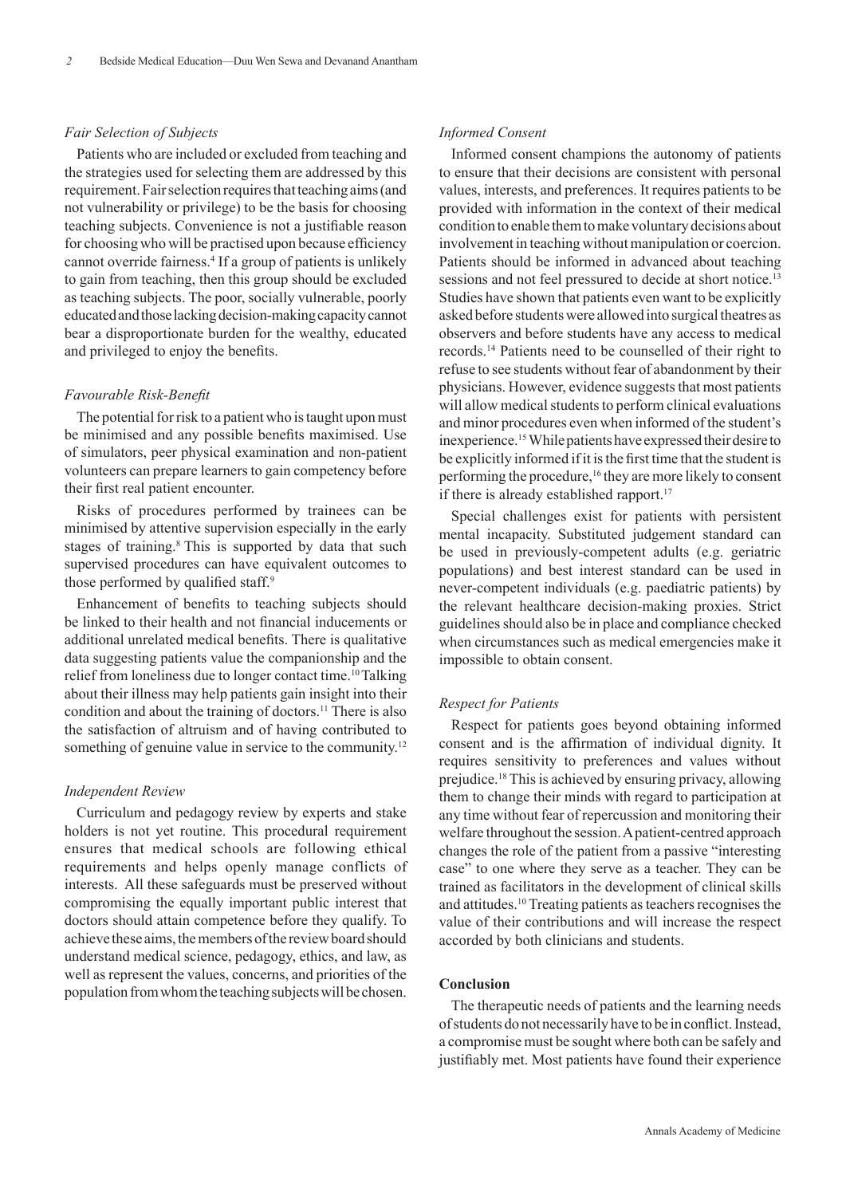#### *Fair Selection of Subjects*

Patients who are included or excluded from teaching and the strategies used for selecting them are addressed by this requirement. Fair selection requires that teaching aims (and not vulnerability or privilege) to be the basis for choosing teaching subjects. Convenience is not a justifiable reason for choosing who will be practised upon because efficiency cannot override fairness.<sup>4</sup> If a group of patients is unlikely to gain from teaching, then this group should be excluded as teaching subjects. The poor, socially vulnerable, poorly educated and those lacking decision-making capacity cannot bear a disproportionate burden for the wealthy, educated and privileged to enjoy the benefits.

### *Favourable Risk-Benefit*

The potential for risk to a patient who is taught upon must be minimised and any possible benefits maximised. Use of simulators, peer physical examination and non-patient volunteers can prepare learners to gain competency before their first real patient encounter.

Risks of procedures performed by trainees can be minimised by attentive supervision especially in the early stages of training.<sup>8</sup> This is supported by data that such supervised procedures can have equivalent outcomes to those performed by qualified staff.<sup>9</sup>

Enhancement of benefits to teaching subjects should be linked to their health and not financial inducements or additional unrelated medical benefits. There is qualitative data suggesting patients value the companionship and the relief from loneliness due to longer contact time.<sup>10</sup> Talking about their illness may help patients gain insight into their condition and about the training of doctors.<sup>11</sup> There is also the satisfaction of altruism and of having contributed to something of genuine value in service to the community.<sup>12</sup>

#### *Independent Review*

Curriculum and pedagogy review by experts and stake holders is not yet routine. This procedural requirement ensures that medical schools are following ethical requirements and helps openly manage conflicts of interests. All these safeguards must be preserved without compromising the equally important public interest that doctors should attain competence before they qualify. To achieve these aims, the members of the review board should understand medical science, pedagogy, ethics, and law, as well as represent the values, concerns, and priorities of the population from whom the teaching subjects will be chosen.

## *Informed Consent*

Informed consent champions the autonomy of patients to ensure that their decisions are consistent with personal values, interests, and preferences. It requires patients to be provided with information in the context of their medical condition to enable them to make voluntary decisions about involvement in teaching without manipulation or coercion. Patients should be informed in advanced about teaching sessions and not feel pressured to decide at short notice.<sup>13</sup> Studies have shown that patients even want to be explicitly asked before students were allowed into surgical theatres as observers and before students have any access to medical records.14 Patients need to be counselled of their right to refuse to see students without fear of abandonment by their physicians. However, evidence suggests that most patients will allow medical students to perform clinical evaluations and minor procedures even when informed of the student's inexperience.<sup>15</sup>While patients have expressed their desire to be explicitly informed if it is the first time that the student is performing the procedure,<sup>16</sup> they are more likely to consent if there is already established rapport.<sup>17</sup>

Special challenges exist for patients with persistent mental incapacity. Substituted judgement standard can be used in previously-competent adults (e.g. geriatric populations) and best interest standard can be used in never-competent individuals (e.g. paediatric patients) by the relevant healthcare decision-making proxies. Strict guidelines should also be in place and compliance checked when circumstances such as medical emergencies make it impossible to obtain consent.

#### *Respect for Patients*

Respect for patients goes beyond obtaining informed consent and is the affirmation of individual dignity. It requires sensitivity to preferences and values without prejudice.18 This is achieved by ensuring privacy, allowing them to change their minds with regard to participation at any time without fear of repercussion and monitoring their welfare throughout the session. A patient-centred approach changes the role of the patient from a passive "interesting case" to one where they serve as a teacher. They can be trained as facilitators in the development of clinical skills and attitudes.10 Treating patients as teachers recognises the value of their contributions and will increase the respect accorded by both clinicians and students.

## **Conclusion**

The therapeutic needs of patients and the learning needs of students do not necessarily have to be in conflict. Instead, a compromise must be sought where both can be safely and justifiably met. Most patients have found their experience